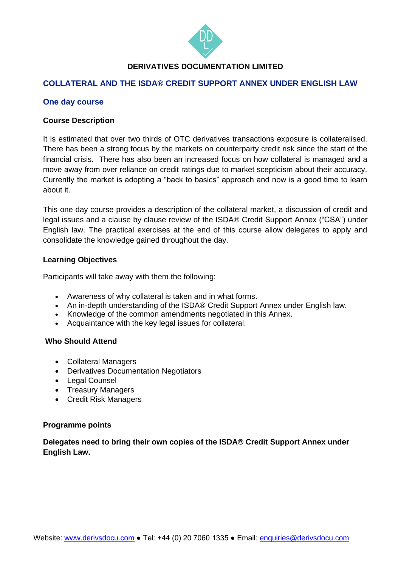

## **DERIVATIVES DOCUMENTATION LIMITED**

## **COLLATERAL AND THE ISDA® CREDIT SUPPORT ANNEX UNDER ENGLISH LAW**

### **One day course**

#### **Course Description**

It is estimated that over two thirds of OTC derivatives transactions exposure is collateralised. There has been a strong focus by the markets on counterparty credit risk since the start of the financial crisis. There has also been an increased focus on how collateral is managed and a move away from over reliance on credit ratings due to market scepticism about their accuracy. Currently the market is adopting a "back to basics" approach and now is a good time to learn about it.

This one day course provides a description of the collateral market, a discussion of credit and legal issues and a clause by clause review of the ISDA® Credit Support Annex ("CSA") under English law. The practical exercises at the end of this course allow delegates to apply and consolidate the knowledge gained throughout the day.

#### **Learning Objectives**

Participants will take away with them the following:

- Awareness of why collateral is taken and in what forms.
- An in-depth understanding of the ISDA® Credit Support Annex under English law.
- Knowledge of the common amendments negotiated in this Annex.
- Acquaintance with the key legal issues for collateral.

#### **Who Should Attend**

- Collateral Managers
- Derivatives Documentation Negotiators
- Legal Counsel
- Treasury Managers
- Credit Risk Managers

#### **Programme points**

**Delegates need to bring their own copies of the ISDA® Credit Support Annex under English Law.**